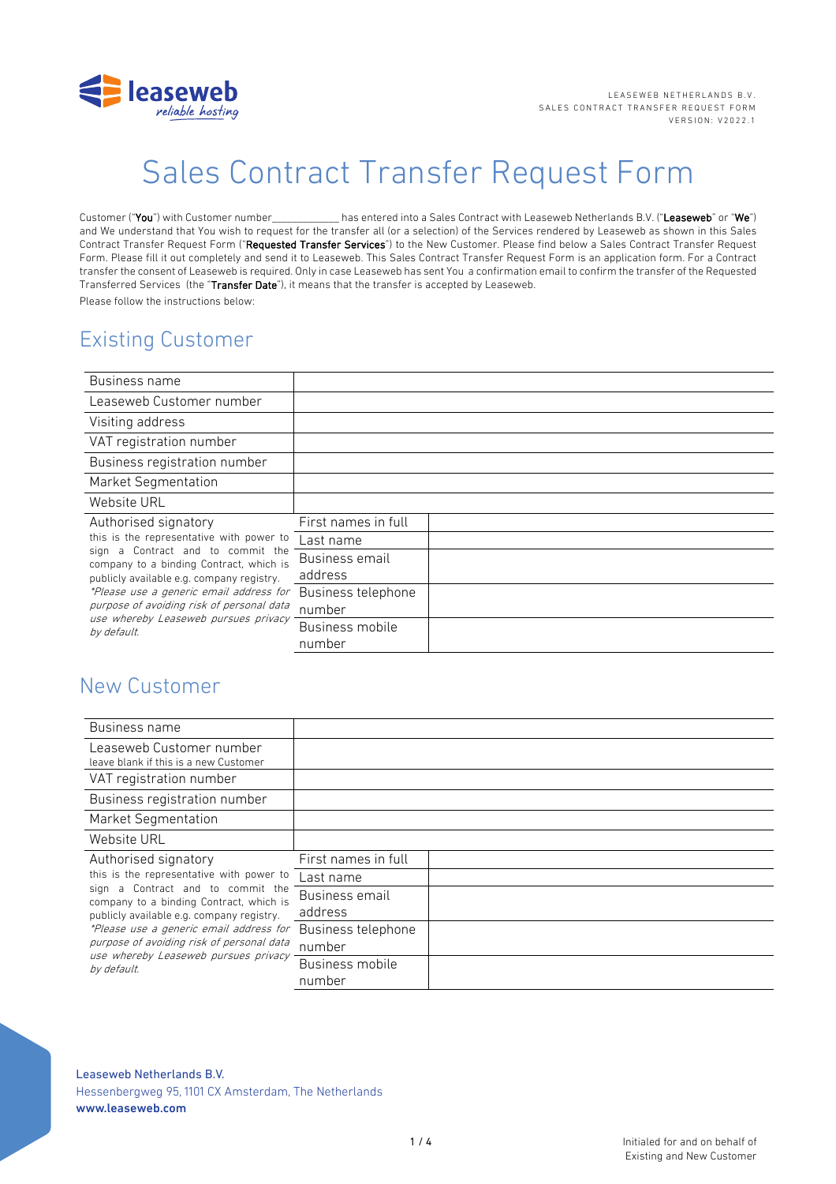

# Sales Contract Transfer Request Form

Customer ("You") with Customer number\_\_\_\_\_\_\_\_\_\_\_\_\_ has entered into a Sales Contract with Leaseweb Netherlands B.V. ("Leaseweb" or "We") and We understand that You wish to request for the transfer all (or a selection) of the Services rendered by Leaseweb as shown in this Sales Contract Transfer Request Form ("Requested Transfer Services") to the New Customer. Please find below a Sales Contract Transfer Request Form. Please fill it out completely and send it to Leaseweb. This Sales Contract Transfer Request Form is an application form. For a Contract transfer the consent of Leaseweb is required. Only in case Leaseweb has sent You a confirmation email to confirm the transfer of the Requested Transferred Services (the "Transfer Date"), it means that the transfer is accepted by Leaseweb. Please follow the instructions below:

# Existing Customer

| Business name                                                                                                                                                                                                                                                                                                                                   |                     |  |
|-------------------------------------------------------------------------------------------------------------------------------------------------------------------------------------------------------------------------------------------------------------------------------------------------------------------------------------------------|---------------------|--|
| Leaseweb Customer number                                                                                                                                                                                                                                                                                                                        |                     |  |
| Visiting address                                                                                                                                                                                                                                                                                                                                |                     |  |
| VAT registration number                                                                                                                                                                                                                                                                                                                         |                     |  |
| Business registration number                                                                                                                                                                                                                                                                                                                    |                     |  |
| Market Segmentation                                                                                                                                                                                                                                                                                                                             |                     |  |
| Website URL                                                                                                                                                                                                                                                                                                                                     |                     |  |
| Authorised signatory<br>this is the representative with power to<br>Contract and to commit the<br>sign a<br>company to a binding Contract, which is<br>publicly available e.g. company registry.<br>*Please use a generic email address for<br>purpose of avoiding risk of personal data<br>use whereby Leaseweb pursues privacy<br>by default. | First names in full |  |
|                                                                                                                                                                                                                                                                                                                                                 | Last name           |  |
|                                                                                                                                                                                                                                                                                                                                                 | Business email      |  |
|                                                                                                                                                                                                                                                                                                                                                 | address             |  |
|                                                                                                                                                                                                                                                                                                                                                 | Business telephone  |  |
|                                                                                                                                                                                                                                                                                                                                                 | number              |  |
|                                                                                                                                                                                                                                                                                                                                                 | Business mobile     |  |
|                                                                                                                                                                                                                                                                                                                                                 | number              |  |

# New Customer

| Business name                                                                                                                                                                                                                                                                                                                                |                     |  |
|----------------------------------------------------------------------------------------------------------------------------------------------------------------------------------------------------------------------------------------------------------------------------------------------------------------------------------------------|---------------------|--|
| Leaseweb Customer number<br>leave blank if this is a new Customer                                                                                                                                                                                                                                                                            |                     |  |
| VAT registration number                                                                                                                                                                                                                                                                                                                      |                     |  |
| Business registration number                                                                                                                                                                                                                                                                                                                 |                     |  |
| Market Segmentation                                                                                                                                                                                                                                                                                                                          |                     |  |
| Website URL                                                                                                                                                                                                                                                                                                                                  |                     |  |
| Authorised signatory<br>this is the representative with power to<br>sign a Contract and to commit the<br>company to a binding Contract, which is<br>publicly available e.g. company registry.<br>*Please use a generic email address for<br>purpose of avoiding risk of personal data<br>use whereby Leaseweb pursues privacy<br>by default. | First names in full |  |
|                                                                                                                                                                                                                                                                                                                                              | Last name           |  |
|                                                                                                                                                                                                                                                                                                                                              | Business email      |  |
|                                                                                                                                                                                                                                                                                                                                              | address             |  |
|                                                                                                                                                                                                                                                                                                                                              | Business telephone  |  |
|                                                                                                                                                                                                                                                                                                                                              | number              |  |
|                                                                                                                                                                                                                                                                                                                                              | Business mobile     |  |
|                                                                                                                                                                                                                                                                                                                                              | number              |  |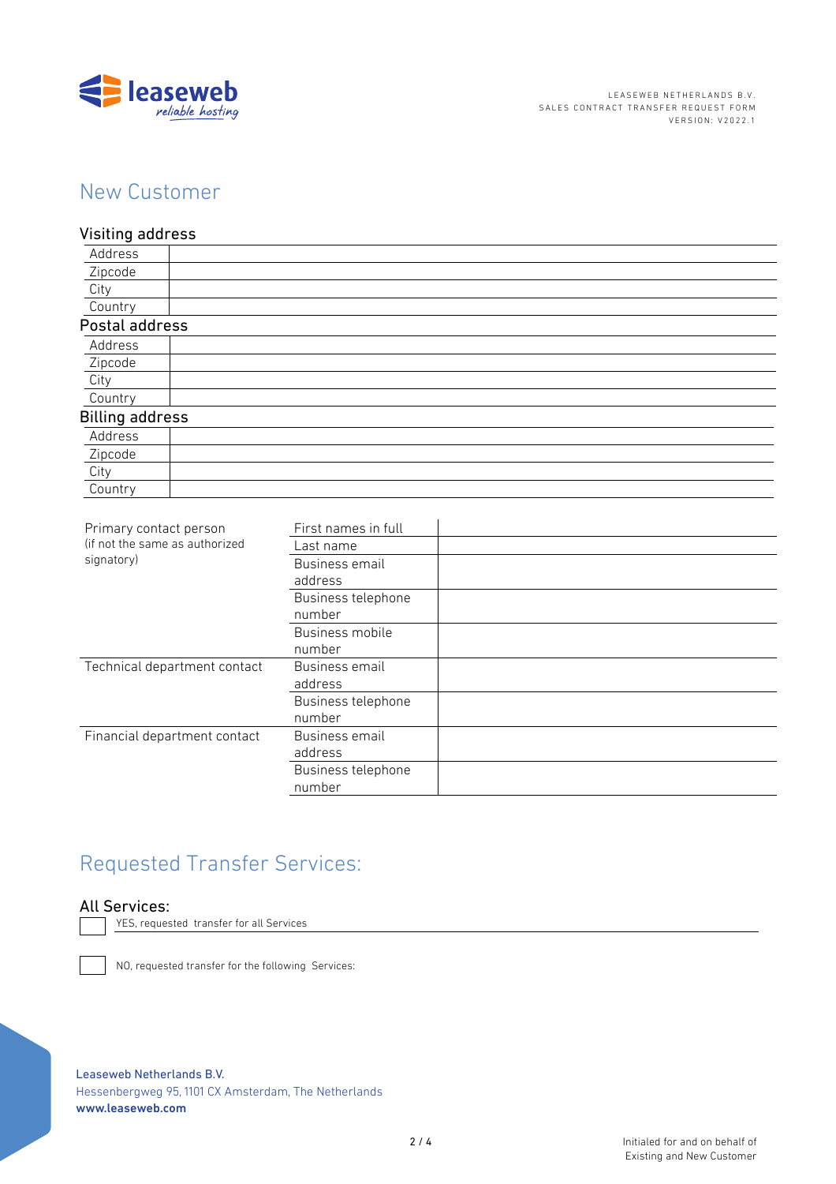

# New Customer

Visiting address Address **Zipcode** City **Country** Postal address Address Zipcode **City** Country Billing address Address Zipcode **City** Country

| Primary contact person<br>(if not the same as authorized<br>signatory) | First names in full |  |
|------------------------------------------------------------------------|---------------------|--|
|                                                                        | Last name           |  |
|                                                                        | Business email      |  |
|                                                                        | address             |  |
|                                                                        | Business telephone  |  |
|                                                                        | number              |  |
|                                                                        | Business mobile     |  |
|                                                                        | number              |  |
| Technical department contact                                           | Business email      |  |
|                                                                        | address             |  |
|                                                                        | Business telephone  |  |
|                                                                        | number              |  |
| Financial department contact                                           | Business email      |  |
|                                                                        | address             |  |
|                                                                        | Business telephone  |  |
|                                                                        | number              |  |

# Requested Transfer Services:



YES, requested transfer for all Services

NO, requested transfer for the following Services: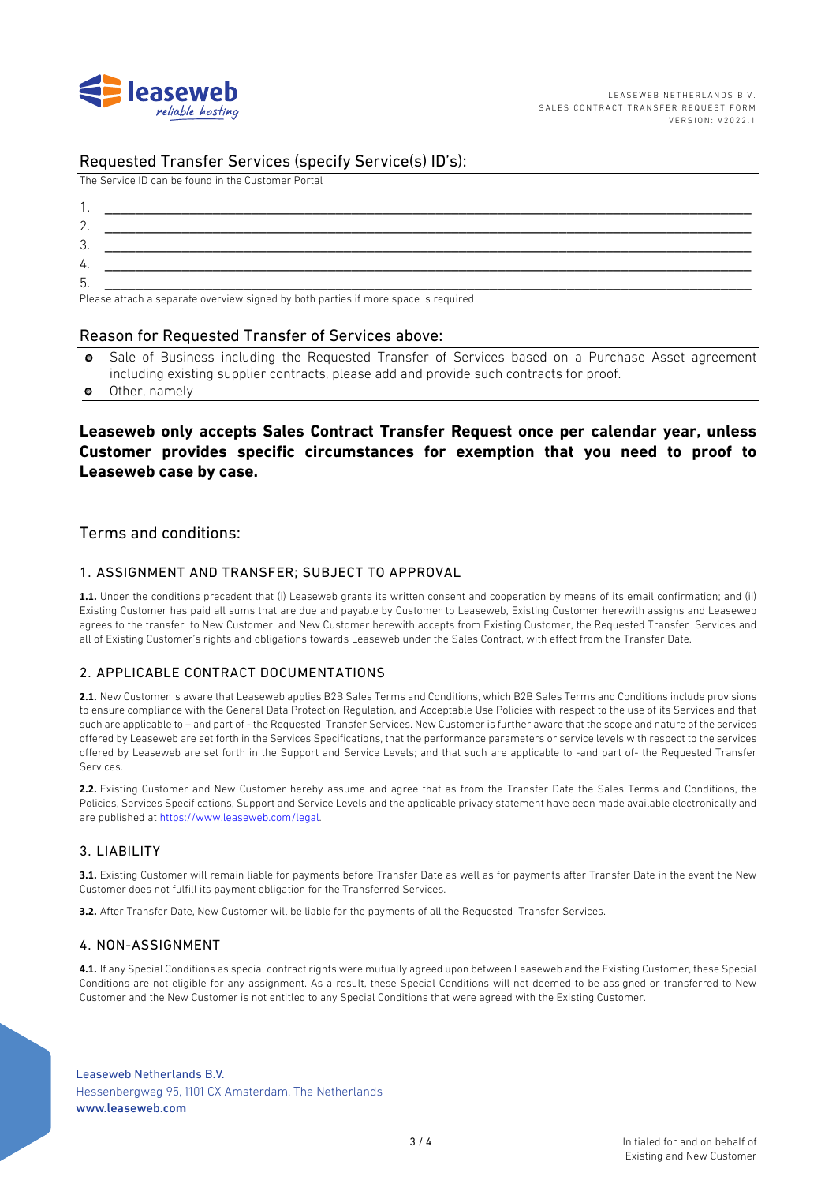

# Requested Transfer Services (specify Service(s) ID's):

The Service ID can be found in the Customer Portal

| ູບ. |                                                                                                                                                                                                                                |
|-----|--------------------------------------------------------------------------------------------------------------------------------------------------------------------------------------------------------------------------------|
| 4.  |                                                                                                                                                                                                                                |
| b.  |                                                                                                                                                                                                                                |
|     | the contract of the contract of the contract of the contract of the contract of the contract of the contract of the contract of the contract of the contract of the contract of the contract of the contract of the contract o |

Please attach a separate overview signed by both parties if more space is required

### Reason for Requested Transfer of Services above:

- Sale of Business including the Requested Transfer of Services based on a Purchase Asset agreement  $\bullet$ including existing supplier contracts, please add and provide such contracts for proof.
- Other, namely  $\bullet$

# Leaseweb only accepts Sales Contract Transfer Request once per calendar year, unless Customer provides specific circumstances for exemption that you need to proof to Leaseweb case by case.

# Terms and conditions:

### 1. ASSIGNMENT AND TRANSFER: SUBJECT TO APPROVAL

1.1. Under the conditions precedent that (i) Leaseweb grants its written consent and cooperation by means of its email confirmation; and (ii) Existing Customer has paid all sums that are due and payable by Customer to Leaseweb, Existing Customer herewith assigns and Leaseweb agrees to the transfer to New Customer, and New Customer herewith accepts from Existing Customer, the Requested Transfer Services and all of Existing Customer's rights and obligations towards Leaseweb under the Sales Contract, with effect from the Transfer Date.

# 2 APPLICABLE CONTRACT DOCUMENTATIONS

2.1. New Customer is aware that Leaseweb applies B2B Sales Terms and Conditions, which B2B Sales Terms and Conditions include provisions to ensure compliance with the General Data Protection Regulation, and Acceptable Use Policies with respect to the use of its Services and that such are applicable to - and part of - the Requested Transfer Services. New Customer is further aware that the scope and nature of the services offered by Leaseweb are set forth in the Services Specifications, that the performance parameters or service levels with respect to the services offered by Leaseweb are set forth in the Support and Service Levels; and that such are applicable to -and part of- the Requested Transfer Services

2.2. Existing Customer and New Customer hereby assume and agree that as from the Transfer Date the Sales Terms and Conditions, the Policies. Services Specifications, Support and Service Levels and the applicable privacy statement have been made available electronically and are published at https://www.leaseweb.com/legal.

# 3. LIABILITY

3.1. Existing Customer will remain liable for payments before Transfer Date as well as for payments after Transfer Date in the event the New Customer does not fulfill its payment obligation for the Transferred Services.

3.2. After Transfer Date, New Customer will be liable for the payments of all the Requested Transfer Services.

#### 4. NON-ASSIGNMENT

4.1. If any Special Conditions as special contract rights were mutually agreed upon between Leaseweb and the Existing Customer, these Special Conditions are not eligible for any assignment. As a result, these Special Conditions will not deemed to be assigned or transferred to New Customer and the New Customer is not entitled to any Special Conditions that were agreed with the Existing Customer.